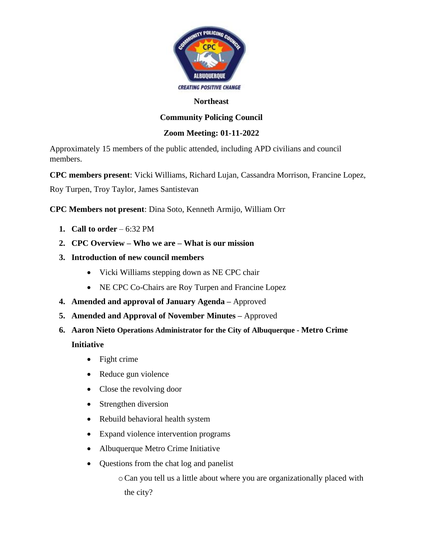

#### **Northeast**

# **Community Policing Council**

### **Zoom Meeting: 01-11-2022**

Approximately 15 members of the public attended, including APD civilians and council members.

**CPC members present**: Vicki Williams, Richard Lujan, Cassandra Morrison, Francine Lopez,

Roy Turpen, Troy Taylor, James Santistevan

**CPC Members not present**: Dina Soto, Kenneth Armijo, William Orr

- **1. Call to order**  6:32 PM
- **2. CPC Overview – Who we are – What is our mission**
- **3. Introduction of new council members**
	- Vicki Williams stepping down as NE CPC chair
	- NE CPC Co-Chairs are Roy Turpen and Francine Lopez
- **4. Amended and approval of January Agenda –** Approved
- **5. Amended and Approval of November Minutes –** Approved
- **6. Aaron Nieto Operations Administrator for the City of Albuquerque - Metro Crime Initiative**
	- Fight crime
	- Reduce gun violence
	- Close the revolving door
	- Strengthen diversion
	- Rebuild behavioral health system
	- Expand violence intervention programs
	- Albuquerque Metro Crime Initiative
	- Questions from the chat log and panelist

oCan you tell us a little about where you are organizationally placed with the city?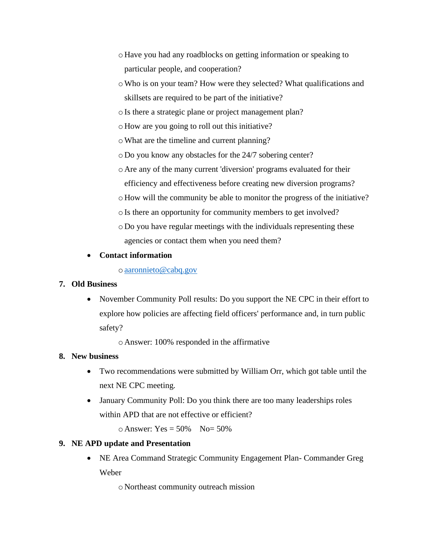- oHave you had any roadblocks on getting information or speaking to particular people, and cooperation?
- oWho is on your team? How were they selected? What qualifications and skillsets are required to be part of the initiative?

oIs there a strategic plane or project management plan?

- oHow are you going to roll out this initiative?
- oWhat are the timeline and current planning?
- oDo you know any obstacles for the 24/7 sobering center?
- oAre any of the many current 'diversion' programs evaluated for their efficiency and effectiveness before creating new diversion programs?
- oHow will the community be able to monitor the progress of the initiative?
- oIs there an opportunity for community members to get involved?
- oDo you have regular meetings with the individuals representing these agencies or contact them when you need them?

### • **Contact information**

### o[aaronnieto@cabq.gov](mailto:aaronnieto@cabq.gov)

#### **7. Old Business**

• November Community Poll results: Do you support the NE CPC in their effort to explore how policies are affecting field officers' performance and, in turn public safety?

oAnswer: 100% responded in the affirmative

## **8. New business**

- Two recommendations were submitted by William Orr, which got table until the next NE CPC meeting.
- January Community Poll: Do you think there are too many leaderships roles within APD that are not effective or efficient?

 $\circ$  Answer: Yes = 50% No= 50%

## **9. NE APD update and Presentation**

• NE Area Command Strategic Community Engagement Plan- Commander Greg Weber

oNortheast community outreach mission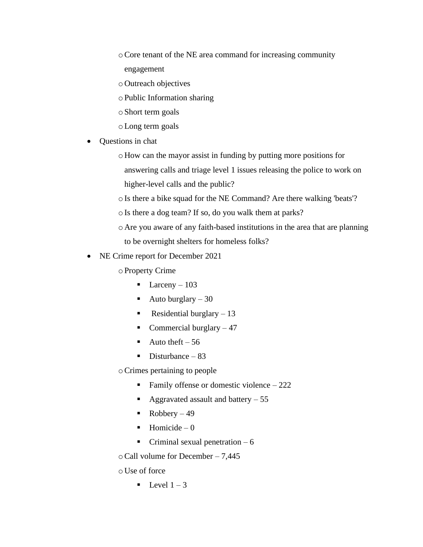- oCore tenant of the NE area command for increasing community engagement
- oOutreach objectives
- oPublic Information sharing
- oShort term goals
- oLong term goals
- Questions in chat
	- oHow can the mayor assist in funding by putting more positions for

answering calls and triage level 1 issues releasing the police to work on

- higher-level calls and the public?
- oIs there a bike squad for the NE Command? Are there walking 'beats'?
- oIs there a dog team? If so, do you walk them at parks?
- oAre you aware of any faith-based institutions in the area that are planning to be overnight shelters for homeless folks?
- NE Crime report for December 2021
	- oProperty Crime
		- **•** Larceny  $103$
		- Auto burglary  $-30$
		- **•** Residential burglary  $-13$
		- **•** Commercial burglary  $-47$
		- $\blacksquare$  Auto theft 56
		- $\blacksquare$  Disturbance 83

oCrimes pertaining to people

- **•** Family offense or domestic violence  $-222$
- $\blacksquare$  Aggravated assault and battery  $-55$
- $\blacksquare$  Robbery 49
- $\blacksquare$  Homicide 0
- $\blacksquare$  Criminal sexual penetration 6

oCall volume for December – 7,445

 $\circ$  Use of force

 $\blacksquare$  Level  $1 - 3$